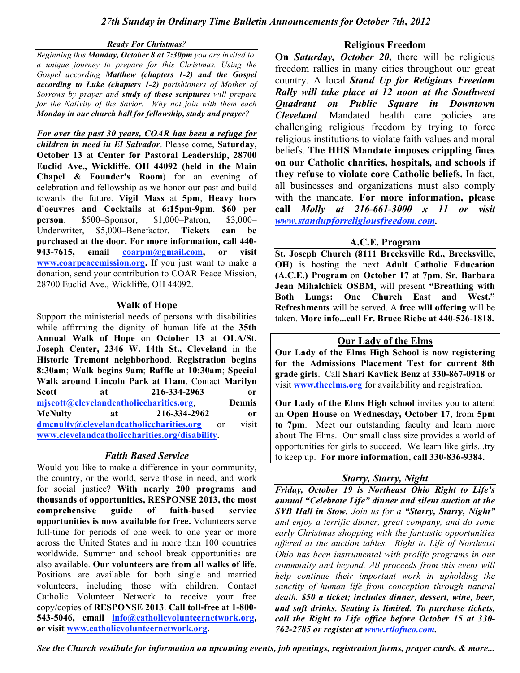#### *Ready For Christmas?*

*Beginning this Monday, October 8 at 7:30pm you are invited to a unique journey to prepare for this Christmas. Using the Gospel according Matthew (chapters 1-2) and the Gospel according to Luke (chapters 1-2) parishioners of Mother of Sorrows by prayer and study of these scriptures will prepare for the Nativity of the Savior. Why not join with them each Monday in our church hall for fellowship, study and prayer?*

*For over the past 30 years, COAR has been a refuge for children in need in El Salvador*. Please come, **Saturday, October 13** at **Center for Pastoral Leadership, 28700 Euclid Ave., Wickliffe, OH 44092 (held in the Main Chapel & Founder's Room**) for an evening of celebration and fellowship as we honor our past and build towards the future. **Vigil Mass** at **5pm**, **Heavy hors d'oeuvres and Cocktails** at **6:15pm-9pm**. **\$60 per person**. \$500–Sponsor, \$1,000–Patron, \$3,000– Underwriter, \$5,000–Benefactor. **Tickets can be purchased at the door. For more information, call 440- 943-7615, email coarpm@gmail.com, or visit www.coarpeacemission.org.** If you just want to make a donation, send your contribution to COAR Peace Mission, 28700 Euclid Ave., Wickliffe, OH 44092.

# **Walk of Hope**

Support the ministerial needs of persons with disabilities while affirming the dignity of human life at the **35th Annual Walk of Hope** on **October 13** at **OLA/St. Joseph Center, 2346 W. 14th St., Cleveland** in the **Historic Tremont neighborhood**. **Registration begins 8:30am**; **Walk begins 9am**; **Raffle at 10:30am**; **Special Walk around Lincoln Park at 11am**. Contact **Marilyn Scott at 216-334-2963 or mjscott@clevelandcatholiccharities.org**, **Dennis McNulty at 216-334-2962 or dmcnulty@clevelandcatholiccharities.org** or visit **www.clevelandcatholiccharities.org/disability.**

# *Faith Based Service*

Would you like to make a difference in your community, the country, or the world, serve those in need, and work for social justice? **With nearly 200 programs and thousands of opportunities, RESPONSE 2013, the most comprehensive guide of faith-based service opportunities is now available for free.** Volunteers serve full-time for periods of one week to one year or more across the United States and in more than 100 countries worldwide. Summer and school break opportunities are also available. **Our volunteers are from all walks of life.** Positions are available for both single and married volunteers, including those with children. Contact Catholic Volunteer Network to receive your free copy/copies of **RESPONSE 2013**. **Call toll-free at 1-800- 543-5046, email info@catholicvolunteernetwork.org, or visit www.catholicvolunteernetwork.org.**

# **Religious Freedom**

**On** *Saturday, October 20***,** there will be religious freedom rallies in many cities throughout our great country. A local *Stand Up for Religious Freedom Rally will take place at 12 noon at the Southwest Quadrant on Public Square in Downtown Cleveland*. Mandated health care policies are challenging religious freedom by trying to force religious institutions to violate faith values and moral beliefs. **The HHS Mandate imposes crippling fines on our Catholic charities, hospitals, and schools if they refuse to violate core Catholic beliefs.** In fact, all businesses and organizations must also comply with the mandate. **For more information, please call** *Molly at 216-661-3000 x 11 or visit www.standupforreligiousfreedom.com.*

# **A.C.E. Program**

**St. Joseph Church (8111 Brecksville Rd., Brecksville, OH)** is hosting the next **Adult Catholic Education (A.C.E.) Program** on **October 17** at **7pm**. **Sr. Barbara Jean Mihalchick OSBM,** will present **"Breathing with Both Lungs: One Church East and West." Refreshments** will be served. A **free will offering** will be taken. **More info...call Fr. Bruce Riebe at 440-526-1818.**

## **Our Lady of the Elms**

**Our Lady of the Elms High School** is **now registering for the Admissions Placement Test for current 8th grade girls**. Call **Shari Kavlick Benz** at **330-867-0918** or visit **www.theelms.org** for availability and registration.

**Our Lady of the Elms High school** invites you to attend an **Open House** on **Wednesday, October 17**, from **5pm to 7pm**. Meet our outstanding faculty and learn more about The Elms. Our small class size provides a world of opportunities for girls to succeed. We learn like girls...try to keep up. **For more information, call 330-836-9384.**

# *Starry, Starry, Night*

*Friday, October 19 is Northeast Ohio Right to Life's annual "Celebrate Life" dinner and silent auction at the SYB Hall in Stow. Join us for a "Starry, Starry, Night" and enjoy a terrific dinner, great company, and do some early Christmas shopping with the fantastic opportunities offered at the auction tables. Right to Life of Northeast Ohio has been instrumental with prolife programs in our community and beyond. All proceeds from this event will help continue their important work in upholding the sanctity of human life from conception through natural death. \$50 a ticket; includes dinner, dessert, wine, beer, and soft drinks. Seating is limited. To purchase tickets, call the Right to Life office before October 15 at 330- 762-2785 or register at www.rtlofneo.com.*

*See the Church vestibule for information on upcoming events, job openings, registration forms, prayer cards, & more...*